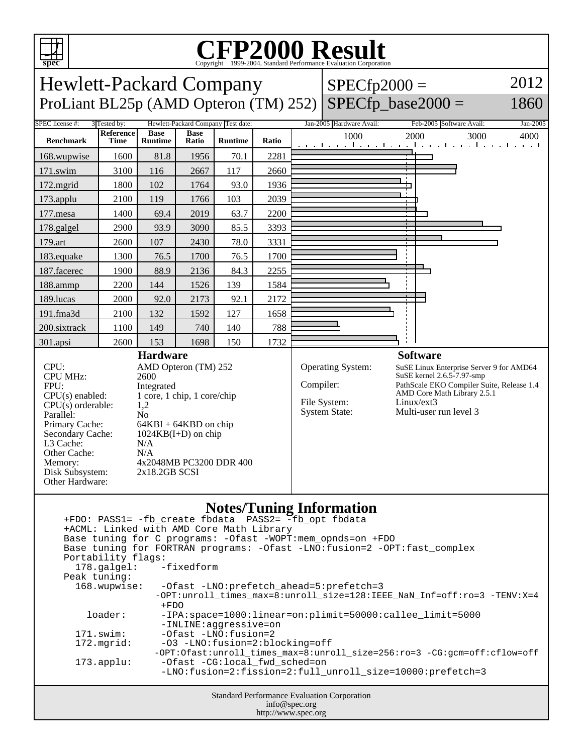

 loader: -IPA:space=1000:linear=on:plimit=50000:callee\_limit=5000 -INLINE:aggressive=on

171.swim: -Ofast -LNO:fusion=2<br>172.mgrid: -03 -LNO:fusion=2:bl -O3 -LNO:fusion=2:blocking=off -OPT:Ofast:unroll\_times\_max=8:unroll\_size=256:ro=3 -CG:gcm=off:cflow=off 173.applu: -Ofast -CG:local\_fwd\_sched=on -LNO:fusion=2:fission=2:full\_unroll\_size=10000:prefetch=3

> Standard Performance Evaluation Corporation info@spec.org http://www.spec.org